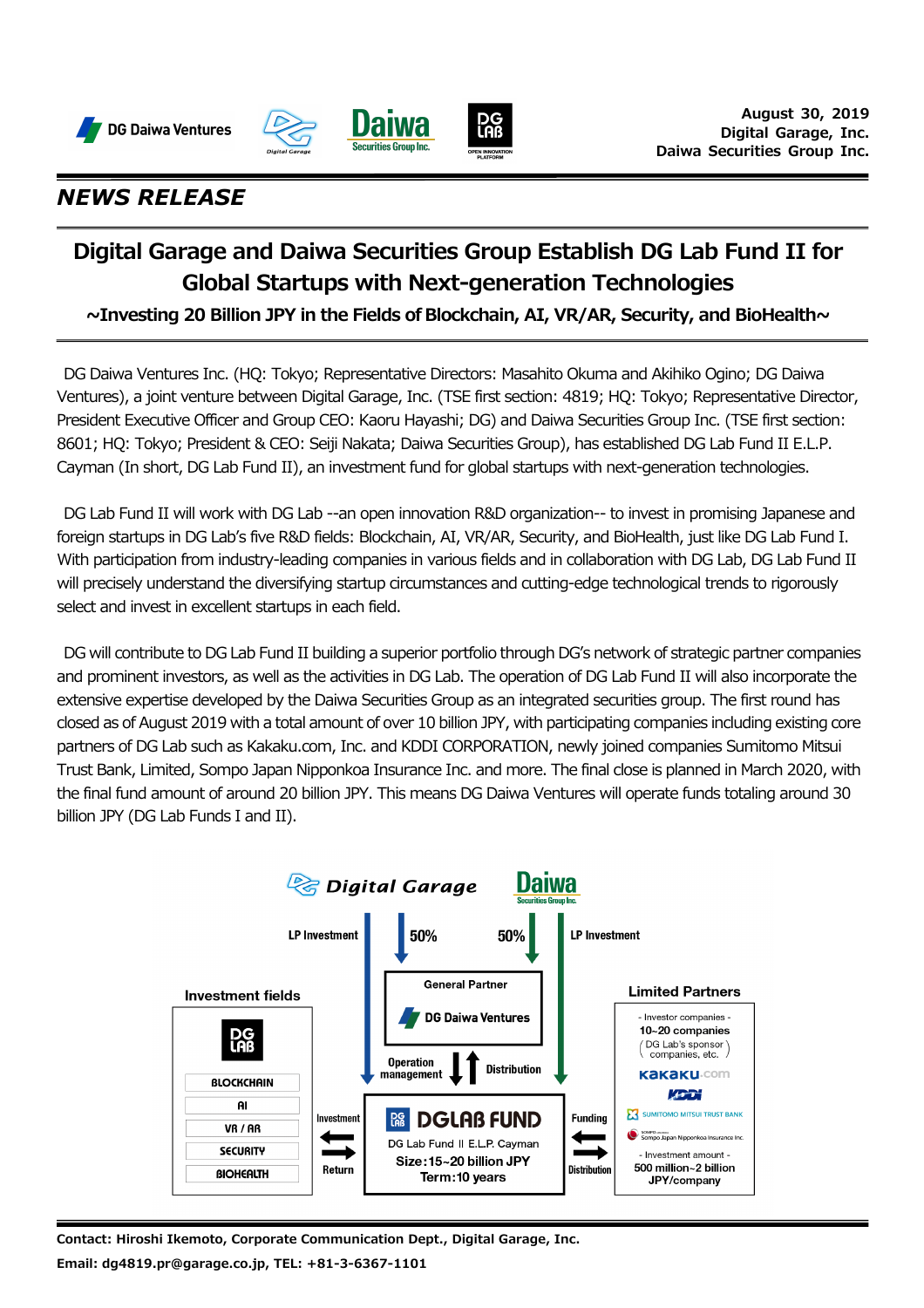





### *NEWS RELEASE*

# **Digital Garage and Daiwa Securities Group Establish DG Lab Fund II for Global Startups with Next-generation Technologies**

**~Investing 20 Billion JPY in the Fields of Blockchain, AI, VR/AR, Security, and BioHealth~**

DG Daiwa Ventures Inc. (HQ: Tokyo; Representative Directors: Masahito Okuma and Akihiko Ogino; DG Daiwa Ventures), a joint venture between Digital Garage, Inc. (TSE first section: 4819; HQ: Tokyo; Representative Director, President Executive Officer and Group CEO: Kaoru Hayashi; DG) and Daiwa Securities Group Inc. (TSE first section: 8601; HQ: Tokyo; President & CEO: Seiji Nakata; Daiwa Securities Group), has established DG Lab Fund II E.L.P. Cayman (In short, DG Lab Fund II), an investment fund for global startups with next-generation technologies.

DG Lab Fund II will work with DG Lab --an open innovation R&D organization-- to invest in promising Japanese and foreign startups in DG Lab's five R&D fields: Blockchain, AI, VR/AR, Security, and BioHealth, just like DG Lab Fund I. With participation from industry-leading companies in various fields and in collaboration with DG Lab, DG Lab Fund II will precisely understand the diversifying startup circumstances and cutting-edge technological trends to rigorously select and invest in excellent startups in each field.

DG will contribute to DG Lab Fund II building a superior portfolio through DG's network of strategic partner companies and prominent investors, as well as the activities in DG Lab. The operation of DG Lab Fund II will also incorporate the extensive expertise developed by the Daiwa Securities Group as an integrated securities group. The first round has closed as of August 2019 with a total amount of over 10 billion JPY, with participating companies including existing core partners of DG Lab such as Kakaku.com, Inc. and KDDI CORPORATION, newly joined companies Sumitomo Mitsui Trust Bank, Limited, Sompo Japan Nipponkoa Insurance Inc. and more. The final close is planned in March 2020, with the final fund amount of around 20 billion JPY. This means DG Daiwa Ventures will operate funds totaling around 30 billion JPY (DG Lab Funds I and II).



**Contact: Hiroshi Ikemoto, Corporate Communication Dept., Digital Garage, Inc. Email: dg4819.pr@garage.co.jp, TEL: +81-3-6367-1101**